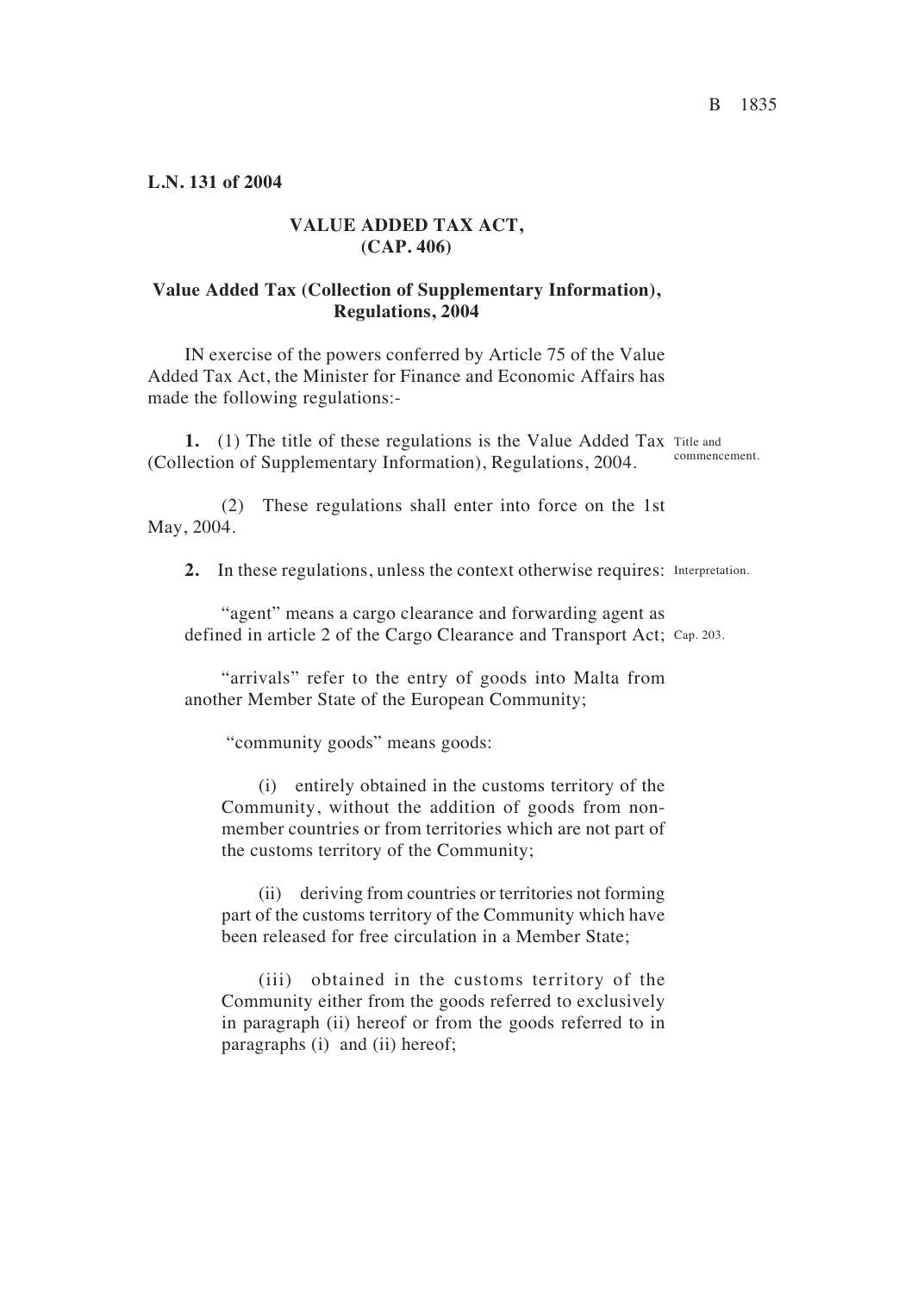**L.N. 131 of 2004**

## **VALUE ADDED TAX ACT, (CAP. 406)**

## **Value Added Tax (Collection of Supplementary Information), Regulations, 2004**

IN exercise of the powers conferred by Article 75 of the Value Added Tax Act, the Minister for Finance and Economic Affairs has made the following regulations:-

1. (1) The title of these regulations is the Value Added Tax Title and (Collection of Supplementary Information), Regulations, 2004. commencement.

(2) These regulations shall enter into force on the 1st May, 2004.

2. In these regulations, unless the context otherwise requires: Interpretation.

"agent" means a cargo clearance and forwarding agent as defined in article 2 of the Cargo Clearance and Transport Act; Cap. 203.

"arrivals" refer to the entry of goods into Malta from another Member State of the European Community<

"community goods" means goods:

(i) entirely obtained in the customs territory of the Community, without the addition of goods from nonmember countries or from territories which are not part of the customs territory of the Community<

(ii) deriving from countries or territories not forming part of the customs territory of the Community which have been released for free circulation in a Member State;

(iii) obtained in the customs territory of the Community either from the goods referred to exclusively in paragraph (ii) hereof or from the goods referred to in paragraphs (i) and (ii) hereof;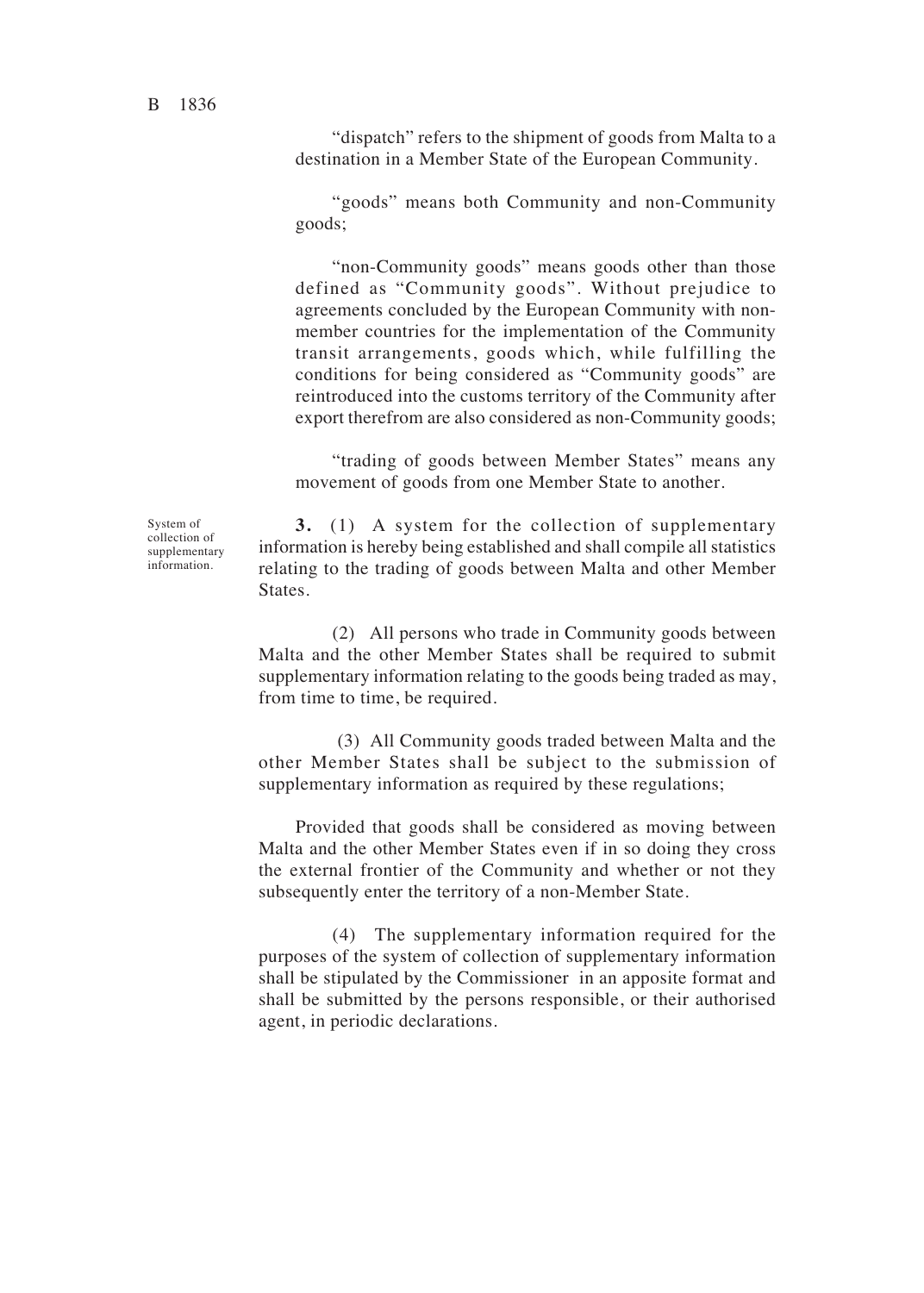"dispatch" refers to the shipment of goods from Malta to a destination in a Member State of the European Community.

"goods" means both Community and non-Community goods<

"non-Community goods" means goods other than those defined as "Community goods". Without prejudice to agreements concluded by the European Community with nonmember countries for the implementation of the Community transit arrangements, goods which, while fulfilling the conditions for being considered as "Community goods" are reintroduced into the customs territory of the Community after export therefrom are also considered as non-Community goods<

"trading of goods between Member States" means any movement of goods from one Member State to another.

System of collection of supplementary information.

**3.** (1) A system for the collection of supplementary information is hereby being established and shall compile all statistics relating to the trading of goods between Malta and other Member States.

(2) All persons who trade in Community goods between Malta and the other Member States shall be required to submit supplementary information relating to the goods being traded as may, from time to time, be required.

 (3) All Community goods traded between Malta and the other Member States shall be subject to the submission of supplementary information as required by these regulations;

Provided that goods shall be considered as moving between Malta and the other Member States even if in so doing they cross the external frontier of the Community and whether or not they subsequently enter the territory of a non-Member State.

(4) The supplementary information required for the purposes of the system of collection of supplementary information shall be stipulated by the Commissioner in an apposite format and shall be submitted by the persons responsible, or their authorised agent, in periodic declarations.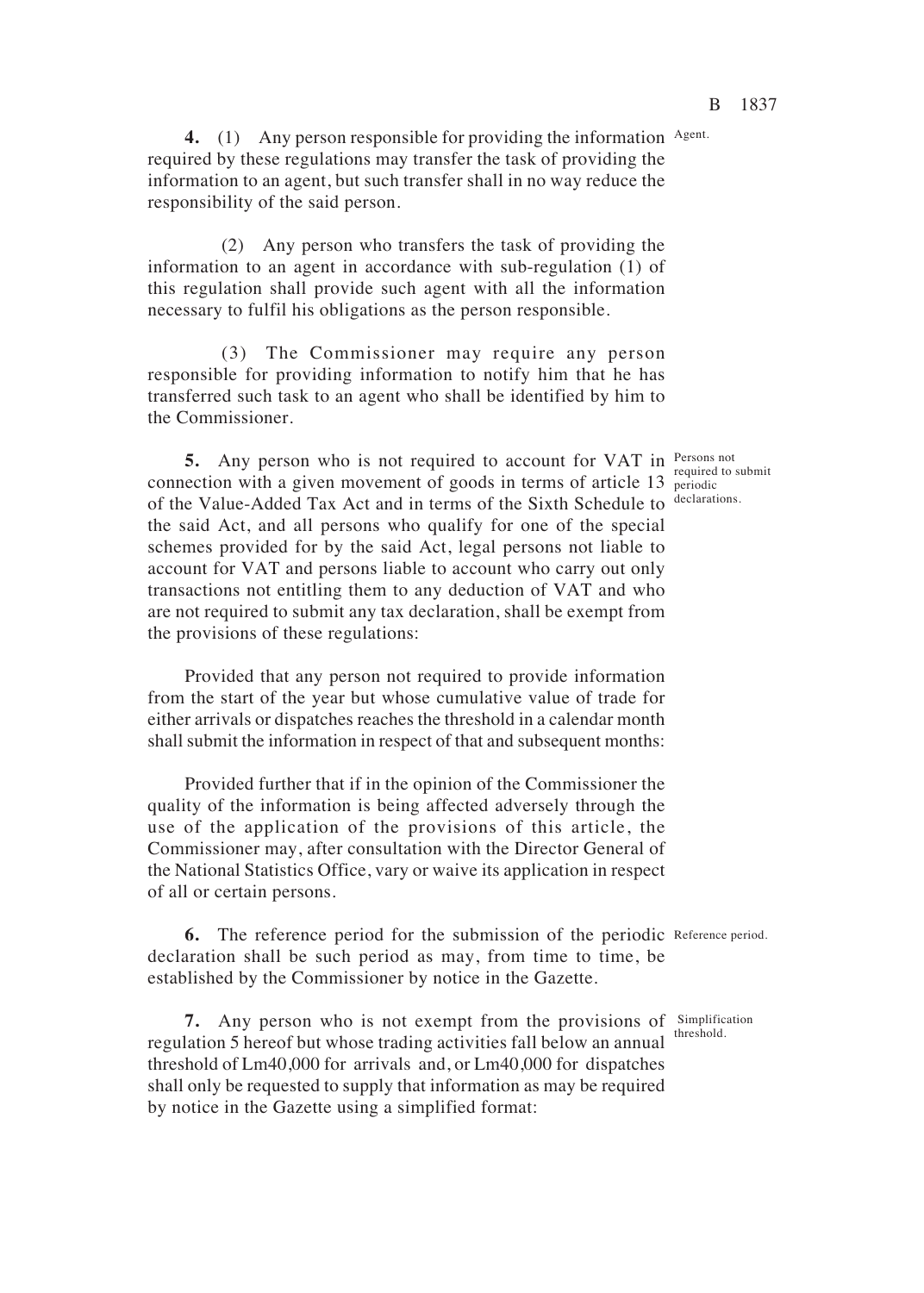4. (1) Any person responsible for providing the information Agent. required by these regulations may transfer the task of providing the information to an agent, but such transfer shall in no way reduce the responsibility of the said person.

(2) Any person who transfers the task of providing the information to an agent in accordance with sub-regulation (1) of this regulation shall provide such agent with all the information necessary to fulfil his obligations as the person responsible.

(3) The Commissioner may require any person responsible for providing information to notify him that he has transferred such task to an agent who shall be identified by him to the Commissioner.

**5.** Any person who is not required to account for VAT in Persons not connection with a given movement of goods in terms of article 13 periodic of the Value-Added Tax Act and in terms of the Sixth Schedule to declarations. the said Act, and all persons who qualify for one of the special schemes provided for by the said Act, legal persons not liable to account for VAT and persons liable to account who carry out only transactions not entitling them to any deduction of VAT and who are not required to submit any tax declaration, shall be exempt from the provisions of these regulations:

Provided that any person not required to provide information from the start of the year but whose cumulative value of trade for either arrivals or dispatches reaches the threshold in a calendar month shall submit the information in respect of that and subsequent months:

Provided further that if in the opinion of the Commissioner the quality of the information is being affected adversely through the use of the application of the provisions of this article, the Commissioner may, after consultation with the Director General of the National Statistics Office, vary or waive its application in respect of all or certain persons.

**6.** The reference period for the submission of the periodic Reference period. declaration shall be such period as may, from time to time, be established by the Commissioner by notice in the Gazette.

**7.** Any person who is not exempt from the provisions of *Simplification* regulation 5 hereof but whose trading activities fall below an annual threshold. threshold of Lm40,000 for arrivals and, or Lm40,000 for dispatches shall only be requested to supply that information as may be required by notice in the Gazette using a simplified format:

periodic